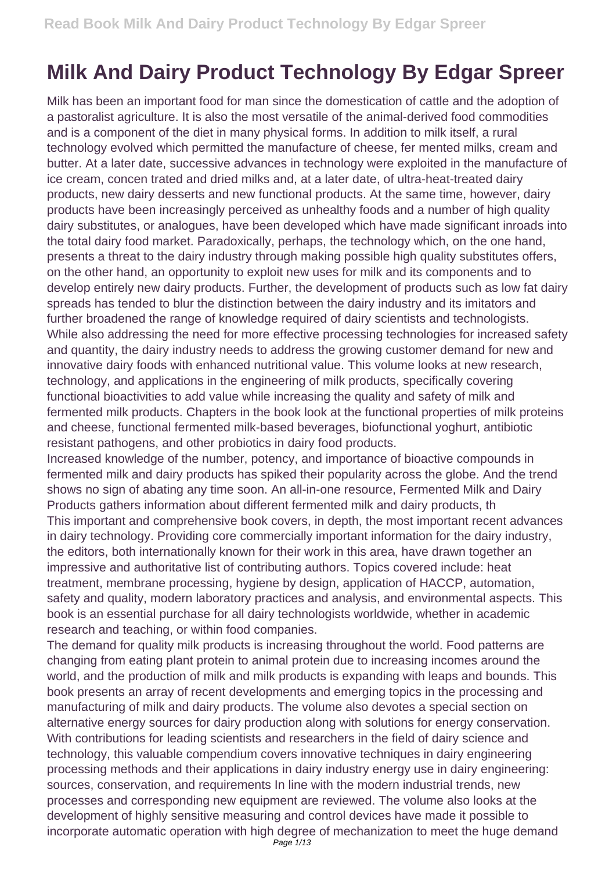## **Milk And Dairy Product Technology By Edgar Spreer**

Milk has been an important food for man since the domestication of cattle and the adoption of a pastoralist agriculture. It is also the most versatile of the animal-derived food commodities and is a component of the diet in many physical forms. In addition to milk itself, a rural technology evolved which permitted the manufacture of cheese, fer mented milks, cream and butter. At a later date, successive advances in technology were exploited in the manufacture of ice cream, concen trated and dried milks and, at a later date, of ultra-heat-treated dairy products, new dairy desserts and new functional products. At the same time, however, dairy products have been increasingly perceived as unhealthy foods and a number of high quality dairy substitutes, or analogues, have been developed which have made significant inroads into the total dairy food market. Paradoxically, perhaps, the technology which, on the one hand, presents a threat to the dairy industry through making possible high quality substitutes offers, on the other hand, an opportunity to exploit new uses for milk and its components and to develop entirely new dairy products. Further, the development of products such as low fat dairy spreads has tended to blur the distinction between the dairy industry and its imitators and further broadened the range of knowledge required of dairy scientists and technologists. While also addressing the need for more effective processing technologies for increased safety and quantity, the dairy industry needs to address the growing customer demand for new and innovative dairy foods with enhanced nutritional value. This volume looks at new research, technology, and applications in the engineering of milk products, specifically covering functional bioactivities to add value while increasing the quality and safety of milk and fermented milk products. Chapters in the book look at the functional properties of milk proteins and cheese, functional fermented milk-based beverages, biofunctional yoghurt, antibiotic resistant pathogens, and other probiotics in dairy food products.

Increased knowledge of the number, potency, and importance of bioactive compounds in fermented milk and dairy products has spiked their popularity across the globe. And the trend shows no sign of abating any time soon. An all-in-one resource, Fermented Milk and Dairy Products gathers information about different fermented milk and dairy products, th This important and comprehensive book covers, in depth, the most important recent advances in dairy technology. Providing core commercially important information for the dairy industry, the editors, both internationally known for their work in this area, have drawn together an impressive and authoritative list of contributing authors. Topics covered include: heat treatment, membrane processing, hygiene by design, application of HACCP, automation, safety and quality, modern laboratory practices and analysis, and environmental aspects. This book is an essential purchase for all dairy technologists worldwide, whether in academic research and teaching, or within food companies.

The demand for quality milk products is increasing throughout the world. Food patterns are changing from eating plant protein to animal protein due to increasing incomes around the world, and the production of milk and milk products is expanding with leaps and bounds. This book presents an array of recent developments and emerging topics in the processing and manufacturing of milk and dairy products. The volume also devotes a special section on alternative energy sources for dairy production along with solutions for energy conservation. With contributions for leading scientists and researchers in the field of dairy science and technology, this valuable compendium covers innovative techniques in dairy engineering processing methods and their applications in dairy industry energy use in dairy engineering: sources, conservation, and requirements In line with the modern industrial trends, new processes and corresponding new equipment are reviewed. The volume also looks at the development of highly sensitive measuring and control devices have made it possible to incorporate automatic operation with high degree of mechanization to meet the huge demand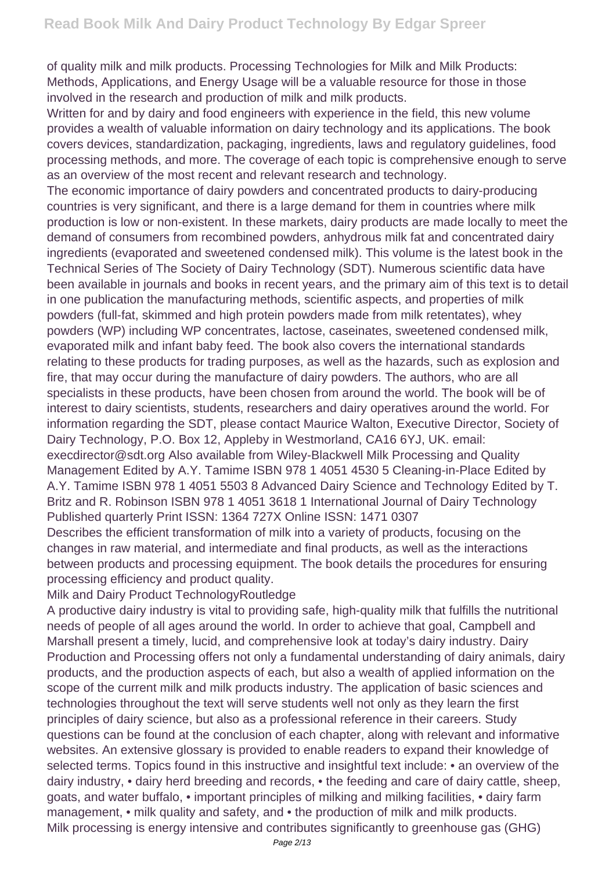of quality milk and milk products. Processing Technologies for Milk and Milk Products: Methods, Applications, and Energy Usage will be a valuable resource for those in those involved in the research and production of milk and milk products.

Written for and by dairy and food engineers with experience in the field, this new volume provides a wealth of valuable information on dairy technology and its applications. The book covers devices, standardization, packaging, ingredients, laws and regulatory guidelines, food processing methods, and more. The coverage of each topic is comprehensive enough to serve as an overview of the most recent and relevant research and technology.

The economic importance of dairy powders and concentrated products to dairy-producing countries is very significant, and there is a large demand for them in countries where milk production is low or non-existent. In these markets, dairy products are made locally to meet the demand of consumers from recombined powders, anhydrous milk fat and concentrated dairy ingredients (evaporated and sweetened condensed milk). This volume is the latest book in the Technical Series of The Society of Dairy Technology (SDT). Numerous scientific data have been available in journals and books in recent years, and the primary aim of this text is to detail in one publication the manufacturing methods, scientific aspects, and properties of milk powders (full-fat, skimmed and high protein powders made from milk retentates), whey powders (WP) including WP concentrates, lactose, caseinates, sweetened condensed milk, evaporated milk and infant baby feed. The book also covers the international standards relating to these products for trading purposes, as well as the hazards, such as explosion and fire, that may occur during the manufacture of dairy powders. The authors, who are all specialists in these products, have been chosen from around the world. The book will be of interest to dairy scientists, students, researchers and dairy operatives around the world. For information regarding the SDT, please contact Maurice Walton, Executive Director, Society of Dairy Technology, P.O. Box 12, Appleby in Westmorland, CA16 6YJ, UK. email: execdirector@sdt.org Also available from Wiley-Blackwell Milk Processing and Quality Management Edited by A.Y. Tamime ISBN 978 1 4051 4530 5 Cleaning-in-Place Edited by A.Y. Tamime ISBN 978 1 4051 5503 8 Advanced Dairy Science and Technology Edited by T. Britz and R. Robinson ISBN 978 1 4051 3618 1 International Journal of Dairy Technology Published quarterly Print ISSN: 1364 727X Online ISSN: 1471 0307

Describes the efficient transformation of milk into a variety of products, focusing on the changes in raw material, and intermediate and final products, as well as the interactions between products and processing equipment. The book details the procedures for ensuring processing efficiency and product quality.

## Milk and Dairy Product TechnologyRoutledge

A productive dairy industry is vital to providing safe, high-quality milk that fulfills the nutritional needs of people of all ages around the world. In order to achieve that goal, Campbell and Marshall present a timely, lucid, and comprehensive look at today's dairy industry. Dairy Production and Processing offers not only a fundamental understanding of dairy animals, dairy products, and the production aspects of each, but also a wealth of applied information on the scope of the current milk and milk products industry. The application of basic sciences and technologies throughout the text will serve students well not only as they learn the first principles of dairy science, but also as a professional reference in their careers. Study questions can be found at the conclusion of each chapter, along with relevant and informative websites. An extensive glossary is provided to enable readers to expand their knowledge of selected terms. Topics found in this instructive and insightful text include: • an overview of the dairy industry, • dairy herd breeding and records, • the feeding and care of dairy cattle, sheep, goats, and water buffalo, • important principles of milking and milking facilities, • dairy farm management, • milk quality and safety, and • the production of milk and milk products. Milk processing is energy intensive and contributes significantly to greenhouse gas (GHG)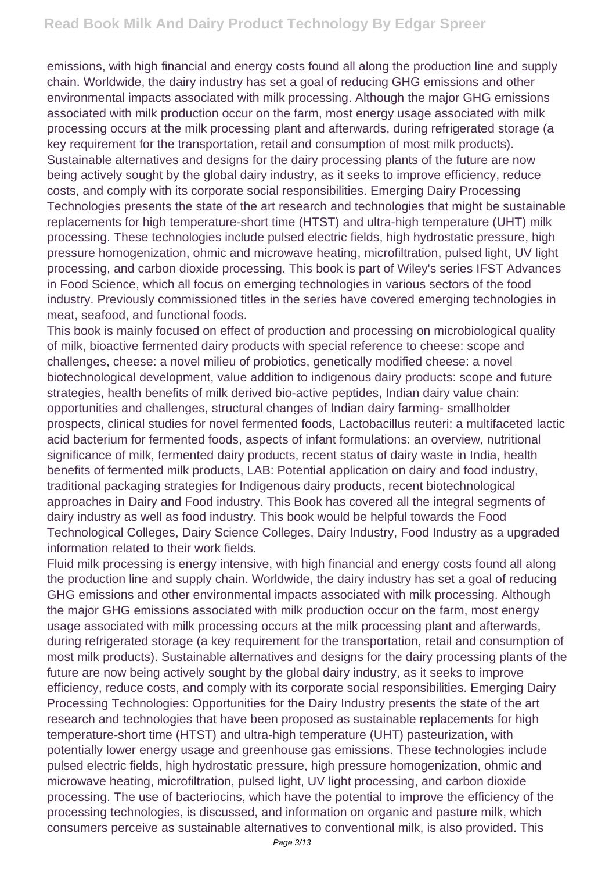emissions, with high financial and energy costs found all along the production line and supply chain. Worldwide, the dairy industry has set a goal of reducing GHG emissions and other environmental impacts associated with milk processing. Although the major GHG emissions associated with milk production occur on the farm, most energy usage associated with milk processing occurs at the milk processing plant and afterwards, during refrigerated storage (a key requirement for the transportation, retail and consumption of most milk products). Sustainable alternatives and designs for the dairy processing plants of the future are now being actively sought by the global dairy industry, as it seeks to improve efficiency, reduce costs, and comply with its corporate social responsibilities. Emerging Dairy Processing Technologies presents the state of the art research and technologies that might be sustainable replacements for high temperature-short time (HTST) and ultra-high temperature (UHT) milk processing. These technologies include pulsed electric fields, high hydrostatic pressure, high pressure homogenization, ohmic and microwave heating, microfiltration, pulsed light, UV light processing, and carbon dioxide processing. This book is part of Wiley's series IFST Advances in Food Science, which all focus on emerging technologies in various sectors of the food industry. Previously commissioned titles in the series have covered emerging technologies in meat, seafood, and functional foods.

This book is mainly focused on effect of production and processing on microbiological quality of milk, bioactive fermented dairy products with special reference to cheese: scope and challenges, cheese: a novel milieu of probiotics, genetically modified cheese: a novel biotechnological development, value addition to indigenous dairy products: scope and future strategies, health benefits of milk derived bio-active peptides, Indian dairy value chain: opportunities and challenges, structural changes of Indian dairy farming- smallholder prospects, clinical studies for novel fermented foods, Lactobacillus reuteri: a multifaceted lactic acid bacterium for fermented foods, aspects of infant formulations: an overview, nutritional significance of milk, fermented dairy products, recent status of dairy waste in India, health benefits of fermented milk products, LAB: Potential application on dairy and food industry, traditional packaging strategies for Indigenous dairy products, recent biotechnological approaches in Dairy and Food industry. This Book has covered all the integral segments of dairy industry as well as food industry. This book would be helpful towards the Food Technological Colleges, Dairy Science Colleges, Dairy Industry, Food Industry as a upgraded information related to their work fields.

Fluid milk processing is energy intensive, with high financial and energy costs found all along the production line and supply chain. Worldwide, the dairy industry has set a goal of reducing GHG emissions and other environmental impacts associated with milk processing. Although the major GHG emissions associated with milk production occur on the farm, most energy usage associated with milk processing occurs at the milk processing plant and afterwards, during refrigerated storage (a key requirement for the transportation, retail and consumption of most milk products). Sustainable alternatives and designs for the dairy processing plants of the future are now being actively sought by the global dairy industry, as it seeks to improve efficiency, reduce costs, and comply with its corporate social responsibilities. Emerging Dairy Processing Technologies: Opportunities for the Dairy Industry presents the state of the art research and technologies that have been proposed as sustainable replacements for high temperature-short time (HTST) and ultra-high temperature (UHT) pasteurization, with potentially lower energy usage and greenhouse gas emissions. These technologies include pulsed electric fields, high hydrostatic pressure, high pressure homogenization, ohmic and microwave heating, microfiltration, pulsed light, UV light processing, and carbon dioxide processing. The use of bacteriocins, which have the potential to improve the efficiency of the processing technologies, is discussed, and information on organic and pasture milk, which consumers perceive as sustainable alternatives to conventional milk, is also provided. This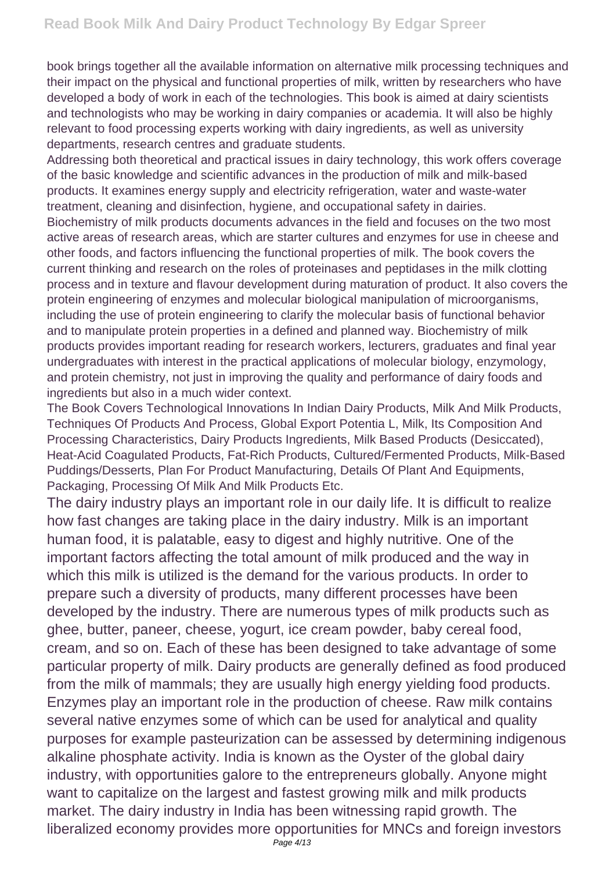book brings together all the available information on alternative milk processing techniques and their impact on the physical and functional properties of milk, written by researchers who have developed a body of work in each of the technologies. This book is aimed at dairy scientists and technologists who may be working in dairy companies or academia. It will also be highly relevant to food processing experts working with dairy ingredients, as well as university departments, research centres and graduate students.

Addressing both theoretical and practical issues in dairy technology, this work offers coverage of the basic knowledge and scientific advances in the production of milk and milk-based products. It examines energy supply and electricity refrigeration, water and waste-water treatment, cleaning and disinfection, hygiene, and occupational safety in dairies. Biochemistry of milk products documents advances in the field and focuses on the two most active areas of research areas, which are starter cultures and enzymes for use in cheese and other foods, and factors influencing the functional properties of milk. The book covers the current thinking and research on the roles of proteinases and peptidases in the milk clotting process and in texture and flavour development during maturation of product. It also covers the protein engineering of enzymes and molecular biological manipulation of microorganisms, including the use of protein engineering to clarify the molecular basis of functional behavior and to manipulate protein properties in a defined and planned way. Biochemistry of milk products provides important reading for research workers, lecturers, graduates and final year undergraduates with interest in the practical applications of molecular biology, enzymology, and protein chemistry, not just in improving the quality and performance of dairy foods and ingredients but also in a much wider context.

The Book Covers Technological Innovations In Indian Dairy Products, Milk And Milk Products, Techniques Of Products And Process, Global Export Potentia L, Milk, Its Composition And Processing Characteristics, Dairy Products Ingredients, Milk Based Products (Desiccated), Heat-Acid Coagulated Products, Fat-Rich Products, Cultured/Fermented Products, Milk-Based Puddings/Desserts, Plan For Product Manufacturing, Details Of Plant And Equipments, Packaging, Processing Of Milk And Milk Products Etc.

The dairy industry plays an important role in our daily life. It is difficult to realize how fast changes are taking place in the dairy industry. Milk is an important human food, it is palatable, easy to digest and highly nutritive. One of the important factors affecting the total amount of milk produced and the way in which this milk is utilized is the demand for the various products. In order to prepare such a diversity of products, many different processes have been developed by the industry. There are numerous types of milk products such as ghee, butter, paneer, cheese, yogurt, ice cream powder, baby cereal food, cream, and so on. Each of these has been designed to take advantage of some particular property of milk. Dairy products are generally defined as food produced from the milk of mammals; they are usually high energy yielding food products. Enzymes play an important role in the production of cheese. Raw milk contains several native enzymes some of which can be used for analytical and quality purposes for example pasteurization can be assessed by determining indigenous alkaline phosphate activity. India is known as the Oyster of the global dairy industry, with opportunities galore to the entrepreneurs globally. Anyone might want to capitalize on the largest and fastest growing milk and milk products market. The dairy industry in India has been witnessing rapid growth. The liberalized economy provides more opportunities for MNCs and foreign investors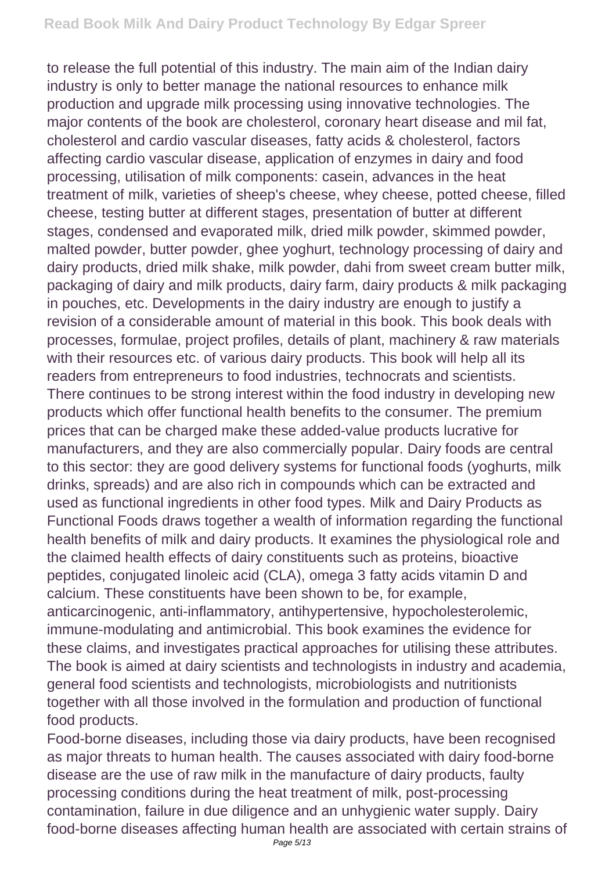to release the full potential of this industry. The main aim of the Indian dairy industry is only to better manage the national resources to enhance milk production and upgrade milk processing using innovative technologies. The major contents of the book are cholesterol, coronary heart disease and mil fat, cholesterol and cardio vascular diseases, fatty acids & cholesterol, factors affecting cardio vascular disease, application of enzymes in dairy and food processing, utilisation of milk components: casein, advances in the heat treatment of milk, varieties of sheep's cheese, whey cheese, potted cheese, filled cheese, testing butter at different stages, presentation of butter at different stages, condensed and evaporated milk, dried milk powder, skimmed powder, malted powder, butter powder, ghee yoghurt, technology processing of dairy and dairy products, dried milk shake, milk powder, dahi from sweet cream butter milk, packaging of dairy and milk products, dairy farm, dairy products & milk packaging in pouches, etc. Developments in the dairy industry are enough to justify a revision of a considerable amount of material in this book. This book deals with processes, formulae, project profiles, details of plant, machinery & raw materials with their resources etc. of various dairy products. This book will help all its readers from entrepreneurs to food industries, technocrats and scientists. There continues to be strong interest within the food industry in developing new products which offer functional health benefits to the consumer. The premium prices that can be charged make these added-value products lucrative for manufacturers, and they are also commercially popular. Dairy foods are central to this sector: they are good delivery systems for functional foods (yoghurts, milk drinks, spreads) and are also rich in compounds which can be extracted and used as functional ingredients in other food types. Milk and Dairy Products as Functional Foods draws together a wealth of information regarding the functional health benefits of milk and dairy products. It examines the physiological role and the claimed health effects of dairy constituents such as proteins, bioactive peptides, conjugated linoleic acid (CLA), omega 3 fatty acids vitamin D and calcium. These constituents have been shown to be, for example, anticarcinogenic, anti-inflammatory, antihypertensive, hypocholesterolemic, immune-modulating and antimicrobial. This book examines the evidence for these claims, and investigates practical approaches for utilising these attributes. The book is aimed at dairy scientists and technologists in industry and academia, general food scientists and technologists, microbiologists and nutritionists together with all those involved in the formulation and production of functional food products.

Food-borne diseases, including those via dairy products, have been recognised as major threats to human health. The causes associated with dairy food-borne disease are the use of raw milk in the manufacture of dairy products, faulty processing conditions during the heat treatment of milk, post-processing contamination, failure in due diligence and an unhygienic water supply. Dairy food-borne diseases affecting human health are associated with certain strains of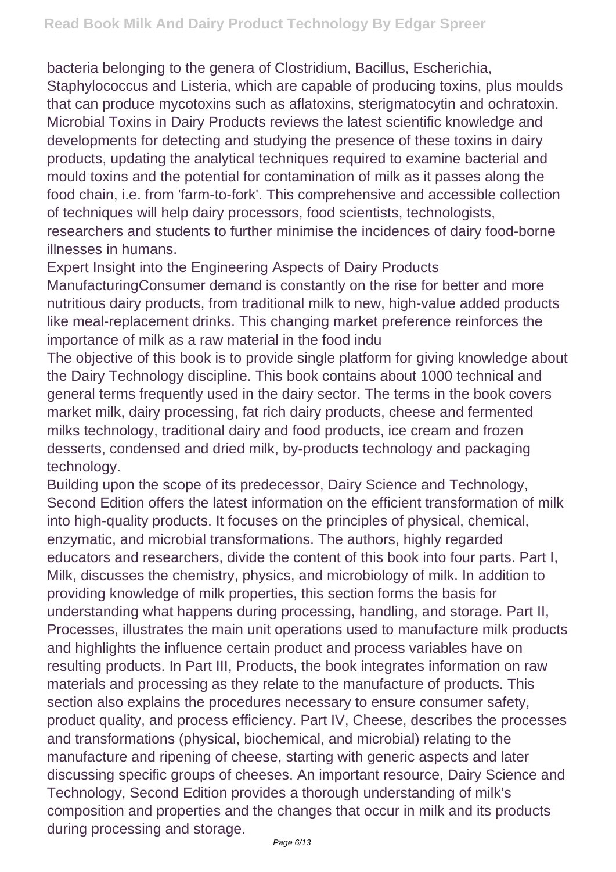bacteria belonging to the genera of Clostridium, Bacillus, Escherichia, Staphylococcus and Listeria, which are capable of producing toxins, plus moulds that can produce mycotoxins such as aflatoxins, sterigmatocytin and ochratoxin. Microbial Toxins in Dairy Products reviews the latest scientific knowledge and developments for detecting and studying the presence of these toxins in dairy products, updating the analytical techniques required to examine bacterial and mould toxins and the potential for contamination of milk as it passes along the food chain, i.e. from 'farm-to-fork'. This comprehensive and accessible collection of techniques will help dairy processors, food scientists, technologists, researchers and students to further minimise the incidences of dairy food-borne illnesses in humans.

Expert Insight into the Engineering Aspects of Dairy Products ManufacturingConsumer demand is constantly on the rise for better and more nutritious dairy products, from traditional milk to new, high-value added products like meal-replacement drinks. This changing market preference reinforces the importance of milk as a raw material in the food indu

The objective of this book is to provide single platform for giving knowledge about the Dairy Technology discipline. This book contains about 1000 technical and general terms frequently used in the dairy sector. The terms in the book covers market milk, dairy processing, fat rich dairy products, cheese and fermented milks technology, traditional dairy and food products, ice cream and frozen desserts, condensed and dried milk, by-products technology and packaging technology.

Building upon the scope of its predecessor, Dairy Science and Technology, Second Edition offers the latest information on the efficient transformation of milk into high-quality products. It focuses on the principles of physical, chemical, enzymatic, and microbial transformations. The authors, highly regarded educators and researchers, divide the content of this book into four parts. Part I, Milk, discusses the chemistry, physics, and microbiology of milk. In addition to providing knowledge of milk properties, this section forms the basis for understanding what happens during processing, handling, and storage. Part II, Processes, illustrates the main unit operations used to manufacture milk products and highlights the influence certain product and process variables have on resulting products. In Part III, Products, the book integrates information on raw materials and processing as they relate to the manufacture of products. This section also explains the procedures necessary to ensure consumer safety, product quality, and process efficiency. Part IV, Cheese, describes the processes and transformations (physical, biochemical, and microbial) relating to the manufacture and ripening of cheese, starting with generic aspects and later discussing specific groups of cheeses. An important resource, Dairy Science and Technology, Second Edition provides a thorough understanding of milk's composition and properties and the changes that occur in milk and its products during processing and storage.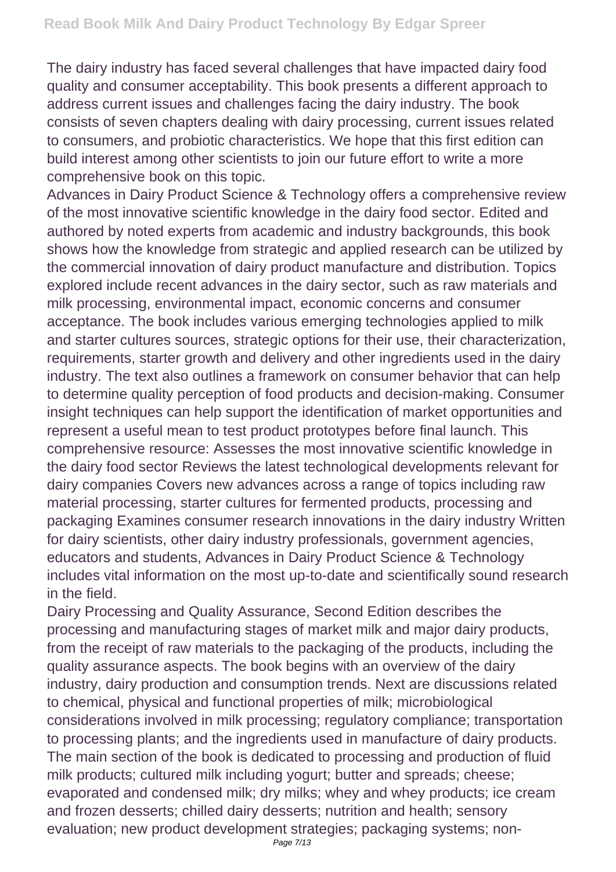The dairy industry has faced several challenges that have impacted dairy food quality and consumer acceptability. This book presents a different approach to address current issues and challenges facing the dairy industry. The book consists of seven chapters dealing with dairy processing, current issues related to consumers, and probiotic characteristics. We hope that this first edition can build interest among other scientists to join our future effort to write a more comprehensive book on this topic.

Advances in Dairy Product Science & Technology offers a comprehensive review of the most innovative scientific knowledge in the dairy food sector. Edited and authored by noted experts from academic and industry backgrounds, this book shows how the knowledge from strategic and applied research can be utilized by the commercial innovation of dairy product manufacture and distribution. Topics explored include recent advances in the dairy sector, such as raw materials and milk processing, environmental impact, economic concerns and consumer acceptance. The book includes various emerging technologies applied to milk and starter cultures sources, strategic options for their use, their characterization, requirements, starter growth and delivery and other ingredients used in the dairy industry. The text also outlines a framework on consumer behavior that can help to determine quality perception of food products and decision-making. Consumer insight techniques can help support the identification of market opportunities and represent a useful mean to test product prototypes before final launch. This comprehensive resource: Assesses the most innovative scientific knowledge in the dairy food sector Reviews the latest technological developments relevant for dairy companies Covers new advances across a range of topics including raw material processing, starter cultures for fermented products, processing and packaging Examines consumer research innovations in the dairy industry Written for dairy scientists, other dairy industry professionals, government agencies, educators and students, Advances in Dairy Product Science & Technology includes vital information on the most up-to-date and scientifically sound research in the field.

Dairy Processing and Quality Assurance, Second Edition describes the processing and manufacturing stages of market milk and major dairy products, from the receipt of raw materials to the packaging of the products, including the quality assurance aspects. The book begins with an overview of the dairy industry, dairy production and consumption trends. Next are discussions related to chemical, physical and functional properties of milk; microbiological considerations involved in milk processing; regulatory compliance; transportation to processing plants; and the ingredients used in manufacture of dairy products. The main section of the book is dedicated to processing and production of fluid milk products; cultured milk including yogurt; butter and spreads; cheese; evaporated and condensed milk; dry milks; whey and whey products; ice cream and frozen desserts; chilled dairy desserts; nutrition and health; sensory evaluation; new product development strategies; packaging systems; non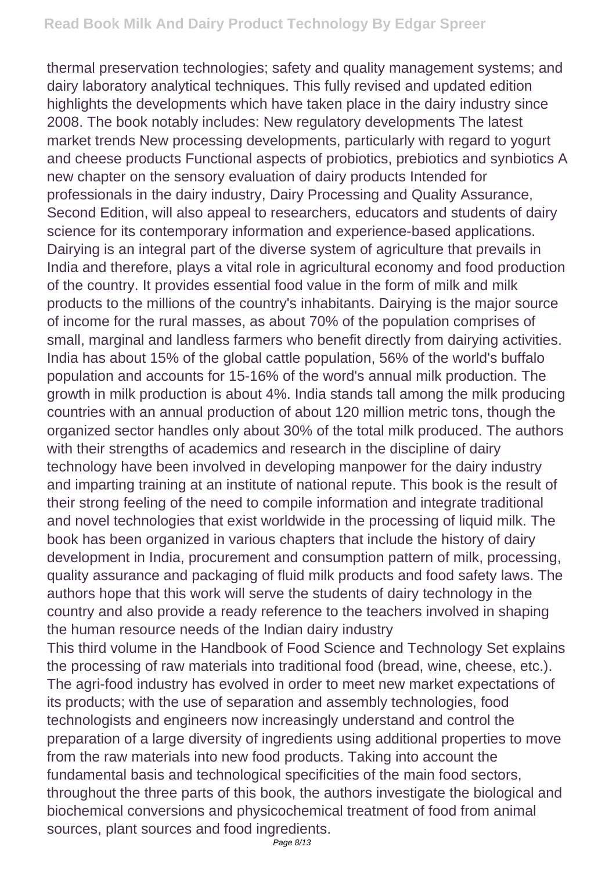thermal preservation technologies; safety and quality management systems; and dairy laboratory analytical techniques. This fully revised and updated edition highlights the developments which have taken place in the dairy industry since 2008. The book notably includes: New regulatory developments The latest market trends New processing developments, particularly with regard to yogurt and cheese products Functional aspects of probiotics, prebiotics and synbiotics A new chapter on the sensory evaluation of dairy products Intended for professionals in the dairy industry, Dairy Processing and Quality Assurance, Second Edition, will also appeal to researchers, educators and students of dairy science for its contemporary information and experience-based applications. Dairying is an integral part of the diverse system of agriculture that prevails in India and therefore, plays a vital role in agricultural economy and food production of the country. It provides essential food value in the form of milk and milk products to the millions of the country's inhabitants. Dairying is the major source of income for the rural masses, as about 70% of the population comprises of small, marginal and landless farmers who benefit directly from dairying activities. India has about 15% of the global cattle population, 56% of the world's buffalo population and accounts for 15-16% of the word's annual milk production. The growth in milk production is about 4%. India stands tall among the milk producing countries with an annual production of about 120 million metric tons, though the organized sector handles only about 30% of the total milk produced. The authors with their strengths of academics and research in the discipline of dairy technology have been involved in developing manpower for the dairy industry and imparting training at an institute of national repute. This book is the result of their strong feeling of the need to compile information and integrate traditional and novel technologies that exist worldwide in the processing of liquid milk. The book has been organized in various chapters that include the history of dairy development in India, procurement and consumption pattern of milk, processing, quality assurance and packaging of fluid milk products and food safety laws. The authors hope that this work will serve the students of dairy technology in the country and also provide a ready reference to the teachers involved in shaping the human resource needs of the Indian dairy industry

This third volume in the Handbook of Food Science and Technology Set explains the processing of raw materials into traditional food (bread, wine, cheese, etc.). The agri-food industry has evolved in order to meet new market expectations of its products; with the use of separation and assembly technologies, food technologists and engineers now increasingly understand and control the preparation of a large diversity of ingredients using additional properties to move from the raw materials into new food products. Taking into account the fundamental basis and technological specificities of the main food sectors, throughout the three parts of this book, the authors investigate the biological and biochemical conversions and physicochemical treatment of food from animal sources, plant sources and food ingredients.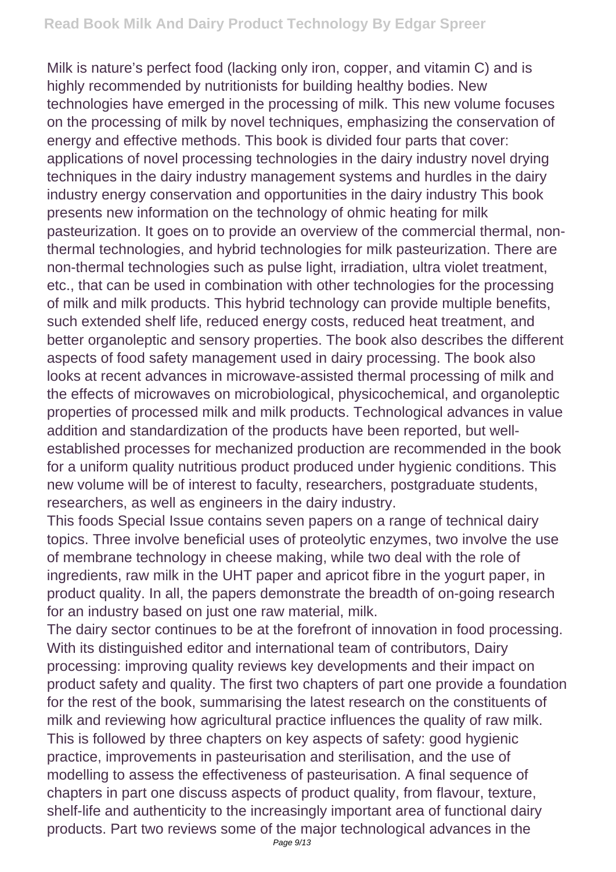Milk is nature's perfect food (lacking only iron, copper, and vitamin C) and is highly recommended by nutritionists for building healthy bodies. New technologies have emerged in the processing of milk. This new volume focuses on the processing of milk by novel techniques, emphasizing the conservation of energy and effective methods. This book is divided four parts that cover: applications of novel processing technologies in the dairy industry novel drying techniques in the dairy industry management systems and hurdles in the dairy industry energy conservation and opportunities in the dairy industry This book presents new information on the technology of ohmic heating for milk pasteurization. It goes on to provide an overview of the commercial thermal, nonthermal technologies, and hybrid technologies for milk pasteurization. There are non-thermal technologies such as pulse light, irradiation, ultra violet treatment, etc., that can be used in combination with other technologies for the processing of milk and milk products. This hybrid technology can provide multiple benefits, such extended shelf life, reduced energy costs, reduced heat treatment, and better organoleptic and sensory properties. The book also describes the different aspects of food safety management used in dairy processing. The book also looks at recent advances in microwave-assisted thermal processing of milk and the effects of microwaves on microbiological, physicochemical, and organoleptic properties of processed milk and milk products. Technological advances in value addition and standardization of the products have been reported, but wellestablished processes for mechanized production are recommended in the book for a uniform quality nutritious product produced under hygienic conditions. This new volume will be of interest to faculty, researchers, postgraduate students, researchers, as well as engineers in the dairy industry.

This foods Special Issue contains seven papers on a range of technical dairy topics. Three involve beneficial uses of proteolytic enzymes, two involve the use of membrane technology in cheese making, while two deal with the role of ingredients, raw milk in the UHT paper and apricot fibre in the yogurt paper, in product quality. In all, the papers demonstrate the breadth of on-going research for an industry based on just one raw material, milk.

The dairy sector continues to be at the forefront of innovation in food processing. With its distinguished editor and international team of contributors, Dairy processing: improving quality reviews key developments and their impact on product safety and quality. The first two chapters of part one provide a foundation for the rest of the book, summarising the latest research on the constituents of milk and reviewing how agricultural practice influences the quality of raw milk. This is followed by three chapters on key aspects of safety: good hygienic practice, improvements in pasteurisation and sterilisation, and the use of modelling to assess the effectiveness of pasteurisation. A final sequence of chapters in part one discuss aspects of product quality, from flavour, texture, shelf-life and authenticity to the increasingly important area of functional dairy products. Part two reviews some of the major technological advances in the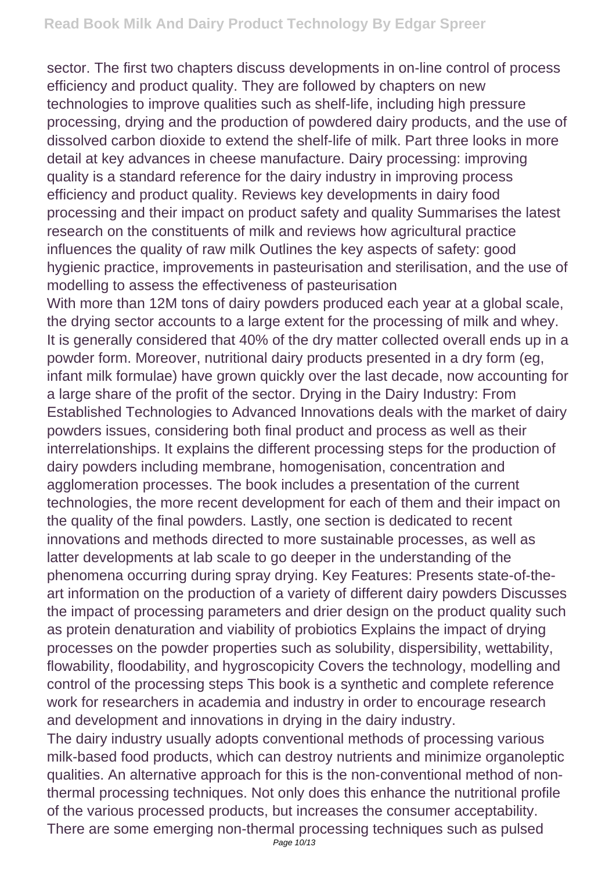sector. The first two chapters discuss developments in on-line control of process efficiency and product quality. They are followed by chapters on new technologies to improve qualities such as shelf-life, including high pressure processing, drying and the production of powdered dairy products, and the use of dissolved carbon dioxide to extend the shelf-life of milk. Part three looks in more detail at key advances in cheese manufacture. Dairy processing: improving quality is a standard reference for the dairy industry in improving process efficiency and product quality. Reviews key developments in dairy food processing and their impact on product safety and quality Summarises the latest research on the constituents of milk and reviews how agricultural practice influences the quality of raw milk Outlines the key aspects of safety: good hygienic practice, improvements in pasteurisation and sterilisation, and the use of modelling to assess the effectiveness of pasteurisation

With more than 12M tons of dairy powders produced each year at a global scale, the drying sector accounts to a large extent for the processing of milk and whey. It is generally considered that 40% of the dry matter collected overall ends up in a powder form. Moreover, nutritional dairy products presented in a dry form (eg, infant milk formulae) have grown quickly over the last decade, now accounting for a large share of the profit of the sector. Drying in the Dairy Industry: From Established Technologies to Advanced Innovations deals with the market of dairy powders issues, considering both final product and process as well as their interrelationships. It explains the different processing steps for the production of dairy powders including membrane, homogenisation, concentration and agglomeration processes. The book includes a presentation of the current technologies, the more recent development for each of them and their impact on the quality of the final powders. Lastly, one section is dedicated to recent innovations and methods directed to more sustainable processes, as well as latter developments at lab scale to go deeper in the understanding of the phenomena occurring during spray drying. Key Features: Presents state-of-theart information on the production of a variety of different dairy powders Discusses the impact of processing parameters and drier design on the product quality such as protein denaturation and viability of probiotics Explains the impact of drying processes on the powder properties such as solubility, dispersibility, wettability, flowability, floodability, and hygroscopicity Covers the technology, modelling and control of the processing steps This book is a synthetic and complete reference work for researchers in academia and industry in order to encourage research and development and innovations in drying in the dairy industry.

The dairy industry usually adopts conventional methods of processing various milk-based food products, which can destroy nutrients and minimize organoleptic qualities. An alternative approach for this is the non-conventional method of nonthermal processing techniques. Not only does this enhance the nutritional profile of the various processed products, but increases the consumer acceptability. There are some emerging non-thermal processing techniques such as pulsed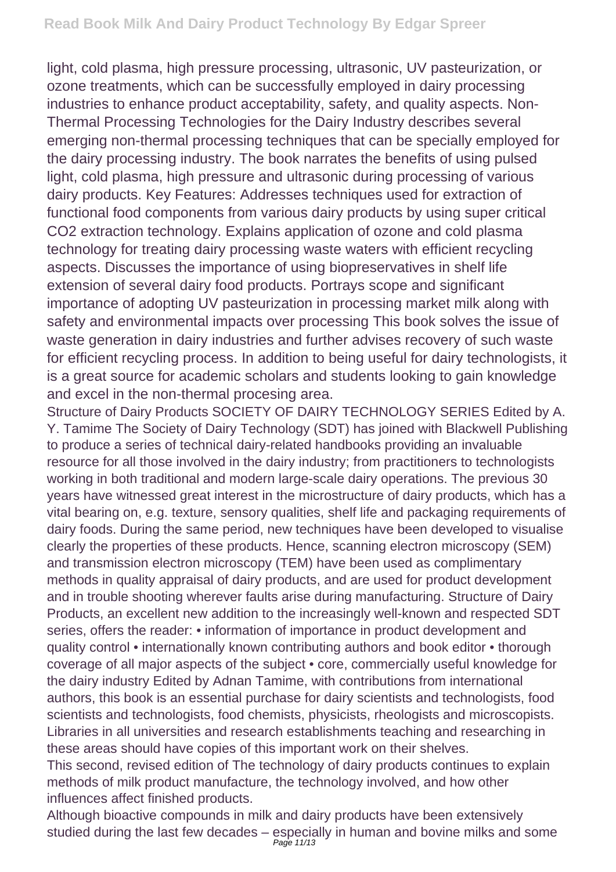light, cold plasma, high pressure processing, ultrasonic, UV pasteurization, or ozone treatments, which can be successfully employed in dairy processing industries to enhance product acceptability, safety, and quality aspects. Non-Thermal Processing Technologies for the Dairy Industry describes several emerging non-thermal processing techniques that can be specially employed for the dairy processing industry. The book narrates the benefits of using pulsed light, cold plasma, high pressure and ultrasonic during processing of various dairy products. Key Features: Addresses techniques used for extraction of functional food components from various dairy products by using super critical CO2 extraction technology. Explains application of ozone and cold plasma technology for treating dairy processing waste waters with efficient recycling aspects. Discusses the importance of using biopreservatives in shelf life extension of several dairy food products. Portrays scope and significant importance of adopting UV pasteurization in processing market milk along with safety and environmental impacts over processing This book solves the issue of waste generation in dairy industries and further advises recovery of such waste for efficient recycling process. In addition to being useful for dairy technologists, it is a great source for academic scholars and students looking to gain knowledge and excel in the non-thermal procesing area.

Structure of Dairy Products SOCIETY OF DAIRY TECHNOLOGY SERIES Edited by A. Y. Tamime The Society of Dairy Technology (SDT) has joined with Blackwell Publishing to produce a series of technical dairy-related handbooks providing an invaluable resource for all those involved in the dairy industry; from practitioners to technologists working in both traditional and modern large-scale dairy operations. The previous 30 years have witnessed great interest in the microstructure of dairy products, which has a vital bearing on, e.g. texture, sensory qualities, shelf life and packaging requirements of dairy foods. During the same period, new techniques have been developed to visualise clearly the properties of these products. Hence, scanning electron microscopy (SEM) and transmission electron microscopy (TEM) have been used as complimentary methods in quality appraisal of dairy products, and are used for product development and in trouble shooting wherever faults arise during manufacturing. Structure of Dairy Products, an excellent new addition to the increasingly well-known and respected SDT series, offers the reader: • information of importance in product development and quality control • internationally known contributing authors and book editor • thorough coverage of all major aspects of the subject • core, commercially useful knowledge for the dairy industry Edited by Adnan Tamime, with contributions from international authors, this book is an essential purchase for dairy scientists and technologists, food scientists and technologists, food chemists, physicists, rheologists and microscopists. Libraries in all universities and research establishments teaching and researching in these areas should have copies of this important work on their shelves.

This second, revised edition of The technology of dairy products continues to explain methods of milk product manufacture, the technology involved, and how other influences affect finished products.

Although bioactive compounds in milk and dairy products have been extensively studied during the last few decades – especially in human and bovine milks and some Page 11/13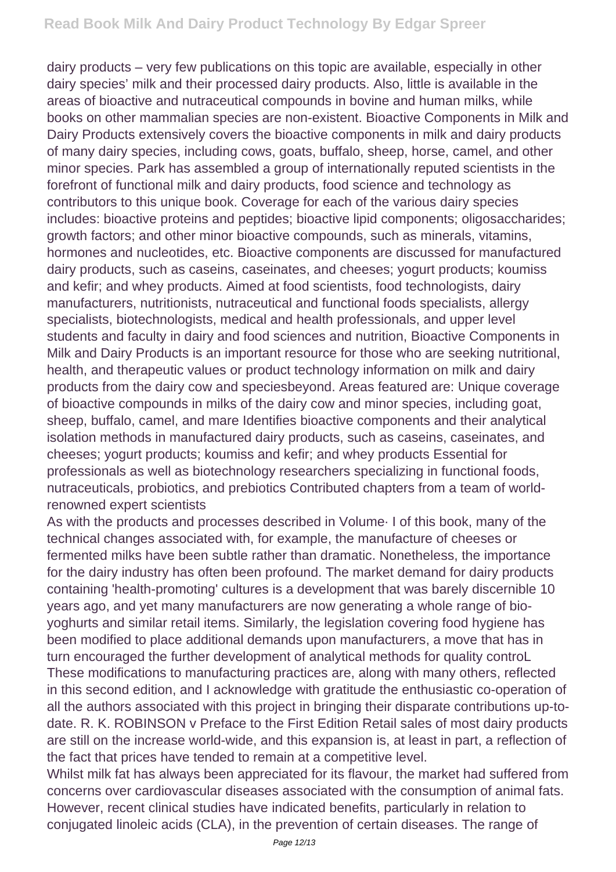dairy products – very few publications on this topic are available, especially in other dairy species' milk and their processed dairy products. Also, little is available in the areas of bioactive and nutraceutical compounds in bovine and human milks, while books on other mammalian species are non-existent. Bioactive Components in Milk and Dairy Products extensively covers the bioactive components in milk and dairy products of many dairy species, including cows, goats, buffalo, sheep, horse, camel, and other minor species. Park has assembled a group of internationally reputed scientists in the forefront of functional milk and dairy products, food science and technology as contributors to this unique book. Coverage for each of the various dairy species includes: bioactive proteins and peptides; bioactive lipid components; oligosaccharides; growth factors; and other minor bioactive compounds, such as minerals, vitamins, hormones and nucleotides, etc. Bioactive components are discussed for manufactured dairy products, such as caseins, caseinates, and cheeses; yogurt products; koumiss and kefir; and whey products. Aimed at food scientists, food technologists, dairy manufacturers, nutritionists, nutraceutical and functional foods specialists, allergy specialists, biotechnologists, medical and health professionals, and upper level students and faculty in dairy and food sciences and nutrition, Bioactive Components in Milk and Dairy Products is an important resource for those who are seeking nutritional, health, and therapeutic values or product technology information on milk and dairy products from the dairy cow and speciesbeyond. Areas featured are: Unique coverage of bioactive compounds in milks of the dairy cow and minor species, including goat, sheep, buffalo, camel, and mare Identifies bioactive components and their analytical isolation methods in manufactured dairy products, such as caseins, caseinates, and cheeses; yogurt products; koumiss and kefir; and whey products Essential for professionals as well as biotechnology researchers specializing in functional foods, nutraceuticals, probiotics, and prebiotics Contributed chapters from a team of worldrenowned expert scientists

As with the products and processes described in Volume· I of this book, many of the technical changes associated with, for example, the manufacture of cheeses or fermented milks have been subtle rather than dramatic. Nonetheless, the importance for the dairy industry has often been profound. The market demand for dairy products containing 'health-promoting' cultures is a development that was barely discernible 10 years ago, and yet many manufacturers are now generating a whole range of bioyoghurts and similar retail items. Similarly, the legislation covering food hygiene has been modified to place additional demands upon manufacturers, a move that has in turn encouraged the further development of analytical methods for quality controL These modifications to manufacturing practices are, along with many others, reflected in this second edition, and I acknowledge with gratitude the enthusiastic co-operation of all the authors associated with this project in bringing their disparate contributions up-todate. R. K. ROBINSON v Preface to the First Edition Retail sales of most dairy products are still on the increase world-wide, and this expansion is, at least in part, a reflection of the fact that prices have tended to remain at a competitive level.

Whilst milk fat has always been appreciated for its flavour, the market had suffered from concerns over cardiovascular diseases associated with the consumption of animal fats. However, recent clinical studies have indicated benefits, particularly in relation to conjugated linoleic acids (CLA), in the prevention of certain diseases. The range of